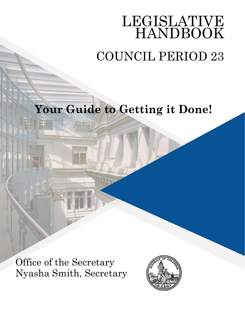# LEGISLATIVE HANDBOOK COUNCIL PERIOD 23

# **Your Guide to Getting it Done!**

Office of the Secretary Nyasha Smith, Secretary

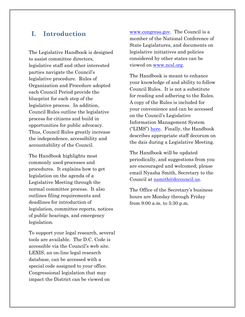# **I. Introduction**

The Legislative Handbook is designed to assist committee directors, legislative staff and other interested parties navigate the Council's legislative procedure. Rules of Organization and Procedure adopted each Council Period provide the blueprint for each step of the legislative process. In addition, Council Rules outline the legislative process for citizens and build in opportunities for public advocacy. Thus, Council Rules greatly increase the independence, accessibility and accountability of the Council.

The Handbook highlights most commonly used processes and procedures. It explains how to get legislation on the agenda of a Legislative Meeting through the normal committee process. It also outlines filing requirements and deadlines for introduction of legislation, committee reports, notices of public hearings, and emergency legislation.

To support your legal research, several tools are available. The D.C. Code is accessible via the Council's web site. LEXIS, an on-line legal research database, can be accessed with a special code assigned to your office. Congressional legislation that may impact the District can be viewed on

[www.congress.gov.](http://www.congress.gov/) The Council is a member of the National Conference of State Legislatures, and documents on legislative initiatives and policies considered by other states can be viewed on [www.ncsl.org.](http://www.ncsl.org/)

The Handbook is meant to enhance your knowledge of and ability to follow Council Rules. It is not a substitute for reading and adhering to the Rules. A copy of the Rules is included for your convenience and can be accessed on the Council's Legislative Information Management System ("LIMS") [here.](http://lims.dccouncil.us/Download/41509/PR23-0001-Enrollment.pdf) Finally, the Handbook describes appropriate staff decorum on the dais during a Legislative Meeting.

The Handbook will be updated periodically, and suggestions from you are encouraged and welcomed; please email Nyasha Smith, Secretary to the Council at [nsmith@dccouncil.us.](mailto:nsmith@dccouncil.us)

The Office of the Secretary's business hours are Monday through Friday from 9:00 a.m. to 5:30 p.m.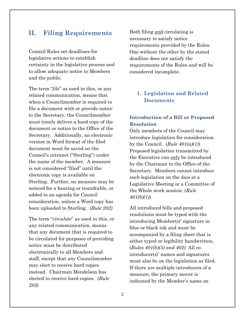# **II. Filing Requirements**

Council Rules set deadlines for legislative actions to establish certainty in the legislative process and to allow adequate notice to Members and the public.

The term "*file*" as used in this, or any related communication, means that when a Councilmember is required to file a document with or provide notice to the Secretary, the Councilmember must timely deliver a hard copy of the document or notice to the Office of the Secretary. Additionally, an electronic version in Word format of the filed document must be saved on the Council's intranet ("Sterling") under the name of the member. A measure is not considered "filed" until the electronic copy is available on Sterling. Further, no measure may be noticed for a hearing or roundtable, or added to an agenda for Council consideration, unless a Word copy has been uploaded to Sterling. (*Rule 282)*

The term "*circulate*" as used in this, or any related communication, means that any document that is required to be circulated for purposes of providing notice must be distributed electronically to all Members and staff, except that any Councilmember may elect to receive hard copies instead. Chairman Mendelson has elected to receive hard copies. (*Rule 283*)

Both filing and circulating is necessary to satisfy notice requirements provided by the Rules. One without the other by the stated deadline does not satisfy the requirements of the Rules and will be considered incomplete.

# **1. Legislation and Related Documents**

# **Introduction of a Bill or Proposed Resolution**

Only members of the Council may introduce legislation for consideration by the Council.  $(Rule 401(a)(1))$ Proposed legislation transmitted by the Executive can only be introduced by the Chairman in the Office of the Secretary. Members cannot introduce such legislation on the dais at a Legislative Meeting or a Committee of the Whole work session. (*Rule 401(b)(1)*)

All introduced bills and proposed resolutions must be typed with the introducing Member(s)' signature in blue or black ink and must be accompanied by a filing sheet that is either typed or legibility handwritten. (*Rules 401(b)(5) and 402)* All cointroducer(s)' names and signatures must also be on the legislation as filed. If there are multiple introducers of a measure, the primary mover is indicated by the Member's name on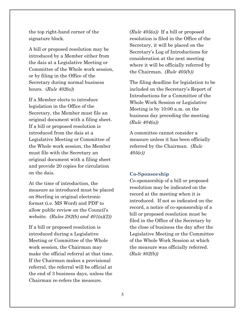the top right-hand corner of the signature block.

A bill or proposed resolution may be introduced by a Member either from the dais at a Legislative Meeting or Committee of the Whole work session, or by filing in the Office of the Secretary during normal business hours. (*Rule 402(a)*)

If a Member elects to introduce legislation in the Office of the Secretary, the Member must file an original document with a filing sheet. If a bill or proposed resolution is introduced from the dais at a Legislative Meeting or Committee of the Whole work session, the Member must file with the Secretary an original document with a filing sheet and provide 20 copies for circulation on the dais.

At the time of introduction, the measure as introduced must be placed on Sterling in original electronic format (i.e. MS Word) and PDF to allow public review on the Council's website. *(Rules 282(b) and 401(a)(2))*

If a bill or proposed resolution is introduced during a Legislative Meeting or Committee of the Whole work session, the Chairman may make the official referral at that time. If the Chairman makes a provisional referral, the referral will be official at the end of 3 business days, unless the Chairman re-refers the measure.

*(Rule 405(a))* If a bill or proposed resolution is filed in the Office of the Secretary, it will be placed on the Secretary's Log of Introductions for consideration at the next meeting where it will be officially referred by the Chairman. *(Rule 405(b))*

The filing deadline for legislation to be included on the Secretary's Report of Introductions for a Committee of the Whole Work Session or Legislative Meeting is by 10:00 a.m. on the business day preceding the meeting. *(Rule 404(a))*

A committee cannot consider a measure unless it has been officially referred by the Chairman. *(Rule 405(e))*

#### **Co-Sponsorship**

Co-sponsorship of a bill or proposed resolution may be indicated on the record at the meeting when it is introduced. If not so indicated on the record, a notice of co-sponsorship of a bill or proposed resolution must be filed in the Office of the Secretary by the close of business the day after the Legislative Meeting or the Committee of the Whole Work Session at which the measure was officially referred. *(Rule 802(b))*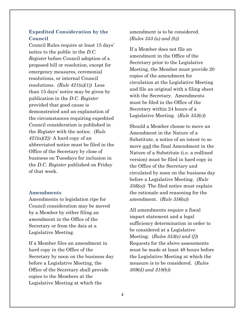### **Expedited Consideration by the Council**

Council Rules require at least 15 days' notice to the public in the *D.C. Register* before Council adoption of a proposed bill or resolution, except for emergency measures, ceremonial resolutions, or internal Council resolutions. *(Rule 421(a)(1))* Less than 15 days' notice may be given by publication in the *D.C. Register*  provided that good cause is demonstrated and an explanation of the circumstances requiring expedited Council consideration is published in the *Register* with the notice. *(Rule*   $421(a)(2)$  A hard copy of an abbreviated notice must be filed in the Office of the Secretary by close of business on Tuesdays for inclusion in the *D.C. Register* published on Friday of that week.

#### **Amendments**

Amendments to legislation ripe for Council consideration may be moved by a Member by either filing an amendment in the Office of the Secretary or from the dais at a Legislative Meeting.

If a Member files an amendment in hard copy in the Office of the Secretary by noon on the business day before a Legislative Meeting, the Office of the Secretary shall provide copies to the Members at the Legislative Meeting at which the

amendment is to be considered. *(Rules 353 (a) and (b))*

If a Member does not file an amendment in the Office of the Secretary prior to the Legislative Meeting, the Member must provide 20 copies of the amendment for circulation at the Legislative Meeting and file an original with a filing sheet with the Secretary. Amendments must be filed in the Office of the Secretary within 24 hours of a Legislative Meeting. (*Rule 353(c)*)

Should a Member choose to move an Amendment in the Nature of a Substitute, a notice of an intent to so move and the final Amendment in the Nature of a Substitute (i.e. a redlined version) must be filed in hard copy in the Office of the Secretary and circulated by noon on the business day before a Legislative Meeting. *(Rule 356(a))* The filed notice must explain the rationale and reasoning for the amendment. (*Rule 356(a)*)

All amendments require a fiscal impact statement and a legal sufficiency determination in order to be considered at a Legislative Meeting. (*Rules 353(e) and (f)*) Requests for the above assessments must be made at least 48 hours before the Legislative Meeting at which the measure is to be considered. (*Rules 309(d) and 310(b)*)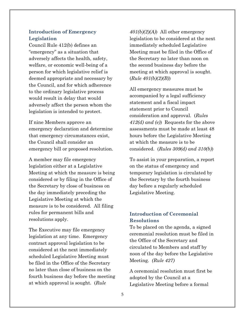### **Introduction of Emergency Legislation**

Council Rule 412(b) defines an "emergency" as a situation that adversely affects the health, safety, welfare, or economic well-being of a person for which legislative relief is deemed appropriate and necessary by the Council, and for which adherence to the ordinary legislative process would result in delay that would adversely affect the person whom the legislation is intended to protect.

If nine Members approve an emergency declaration and determine that emergency circumstances exist, the Council shall consider an emergency bill or proposed resolution.

A member may file emergency legislation either at a Legislative Meeting at which the measure is being considered or by filing in the Office of the Secretary by close of business on the day immediately preceding the Legislative Meeting at which the measure is to be considered. All filing rules for permanent bills and resolutions apply.

The Executive may file emergency legislation at any time. Emergency contract approval legislation to be considered at the next immediately scheduled Legislative Meeting must be filed in the Office of the Secretary no later than close of business on the fourth business day before the meeting at which approval is sought. (*Rule* 

*401(b)(2)(A)*) All other emergency legislation to be considered at the next immediately scheduled Legislative Meeting must be filed in the Office of the Secretary no later than noon on the second business day before the meeting at which approval is sought. (*Rule 401(b)(2)(B)*)

All emergency measures must be accompanied by a legal sufficiency statement and a fiscal impact statement prior to Council consideration and approval. (*Rules 412(d) and (e)*) Requests for the above assessments must be made at least 48 hours before the Legislative Meeting at which the measure is to be considered. (*Rules 309(d) and 310(b)*)

To assist in your preparation, a report on the status of emergency and temporary legislation is circulated by the Secretary by the fourth business day before a regularly scheduled Legislative Meeting.

# **Introduction of Ceremonial Resolutions**

To be placed on the agenda, a signed ceremonial resolution must be filed in the Office of the Secretary and circulated to Members and staff by noon of the day before the Legislative Meeting. *(Rule 427)*

A ceremonial resolution must first be adopted by the Council at a Legislative Meeting before a formal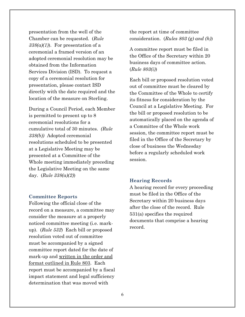presentation from the well of the Chamber can be requested. (*Rule 338(a)(1)*). For presentation of a ceremonial a framed version of an adopted ceremonial resolution may be obtained from the Information Services Division (ISD). To request a copy of a ceremonial resolution for presentation, please contact ISD directly with the date required and the location of the measure on Sterling.

During a Council Period, each Member is permitted to present up to 8 ceremonial resolutions for a cumulative total of 30 minutes. *(Rule 338(b))* Adopted ceremonial resolutions scheduled to be presented at a Legislative Meeting may be presented at a Committee of the Whole meeting immediately preceding the Legislative Meeting on the same day. (*Rule 338(a)(2)*)

#### **Committee Reports**

Following the official close of the record on a measure, a committee may consider the measure at a properly noticed committee meeting (i.e. markup). (*Rule 532*) Each bill or proposed resolution voted out of committee must be accompanied by a signed committee report dated for the date of mark-up and written in the order and format outlined in Rule 803. Each report must be accompanied by a fiscal impact statement and legal sufficiency determination that was moved with

the report at time of committee consideration. (*Rules 803 (g) and (h)*)

A committee report must be filed in the Office of the Secretary within 20 business days of committee action. (*Rule 803(i)*)

Each bill or proposed resolution voted out of committee must be cleared by the Committee of the Whole to certify its fitness for consideration by the Council at a Legislative Meeting. For the bill or proposed resolution to be automatically placed on the agenda of a Committee of the Whole work session, the committee report must be filed in the Office of the Secretary by close of business the Wednesday before a regularly scheduled work session.

#### **Hearing Records**

A hearing record for every proceeding must be filed in the Office of the Secretary within 20 business days after the close of the record. Rule 531(a) specifies the required documents that comprise a hearing record.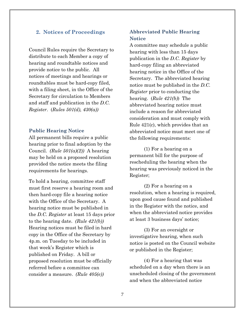#### **2. Notices of Proceedings**

Council Rules require the Secretary to distribute to each Member a copy of hearing and roundtable notices and provide notice to the public. All notices of meetings and hearings or roundtables must be hard-copy filed, with a filing sheet, in the Office of the Secretary for circulation to Members and staff and publication in the *D.C. Register*. (*Rules 501(d), 430(a))* 

#### **Public Hearing Notice**

All permanent bills require a public hearing prior to final adoption by the Council. *(Rule 501(a)(2))* A hearing may be held on a proposed resolution provided the notice meets the filing requirements for hearings.

To hold a hearing, committee staff must first reserve a hearing room and then hard-copy file a hearing notice with the Office of the Secretary. A hearing notice must be published in the *D.C. Register* at least 15 days prior to the hearing date. *(Rule 421(b))* Hearing notices must be filed in hard copy in the Office of the Secretary by 4p.m. on Tuesday to be included in that week's Register which is published on Friday. A bill or proposed resolution must be officially referred before a committee can consider a measure. *(Rule 405(e))* 

### **Abbreviated Public Hearing Notice**

A committee may schedule a public hearing with less than 15 days publication in the *D.C. Register* by hard-copy filing an abbreviated hearing notice in the Office of the Secretary. The abbreviated hearing notice must be published in the *D.C. Register* prior to conducting the hearing. (*Rule 421(b)*) The abbreviated hearing notice must include a reason for abbreviated consideration and must comply with Rule 421(c), which provides that an abbreviated notice must meet one of the following requirements:

(1) For a hearing on a permanent bill for the purpose of rescheduling the hearing when the hearing was previously noticed in the Register;

(2) For a hearing on a resolution, when a hearing is required, upon good cause found and published in the Register with the notice, and when the abbreviated notice provides at least 3 business days' notice;

(3) For an oversight or investigative hearing, when such notice is posted on the Council website or published in the Register;

(4) For a hearing that was scheduled on a day when there is an unscheduled closing of the government and when the abbreviated notice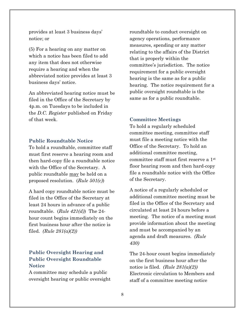provides at least 3 business days' notice; or

(5) For a hearing on any matter on which a notice has been filed to add any item that does not otherwise require a hearing and when the abbreviated notice provides at least 3 business days' notice.

An abbreviated hearing notice must be filed in the Office of the Secretary by 4p.m. on Tuesdays to be included in the *D.C. Register* published on Friday of that week.

#### **Public Roundtable Notice**

To hold a roundtable, committee staff must first reserve a hearing room and then hard-copy file a roundtable notice with the Office of the Secretary. A public roundtable may be held on a proposed resolution. (*Rule 501(c)*)

A hard copy roundtable notice must be filed in the Office of the Secretary at least 24 hours in advance of a public roundtable. (*Rule 421(d)*) The 24 hour count begins immediately on the first business hour after the notice is filed. *(Rule 281(a)(2))*

# **Public Oversight Hearing and Public Oversight Roundtable Notice**

A committee may schedule a public oversight hearing or public oversight roundtable to conduct oversight on agency operations, performance measures, spending or any matter relating to the affairs of the District that is properly within the committee's jurisdiction. The notice requirement for a public oversight hearing is the same as for a public hearing. The notice requirement for a public oversight roundtable is the same as for a public roundtable.

#### **Committee Meetings**

To hold a regularly scheduled committee meeting, committee staff must file a meeting notice with the Office of the Secretary. To hold an additional committee meeting, committee staff must first reserve a 1st floor hearing room and then hard-copy file a roundtable notice with the Office of the Secretary.

A notice of a regularly scheduled or additional committee meeting must be filed in the Office of the Secretary and circulated at least 24 hours before a meeting. The notice of a meeting must provide information about the meeting and must be accompanied by an agenda and draft measures. *(Rule 430)*

The 24-hour count begins immediately on the first business hour after the notice is filed. *(Rule 281(a)(2))*  Electronic circulation to Members and staff of a committee meeting notice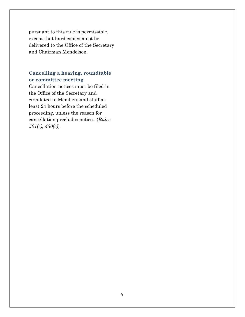pursuant to this rule is permissible, except that hard copies must be delivered to the Office of the Secretary and Chairman Mendelson.

# **Cancelling a hearing, roundtable or committee meeting**

Cancellation notices must be filed in the Office of the Secretary and circulated to Members and staff at least 24 hours before the scheduled proceeding, unless the reason for cancellation precludes notice. (*Rules 501(e), 430(c)*)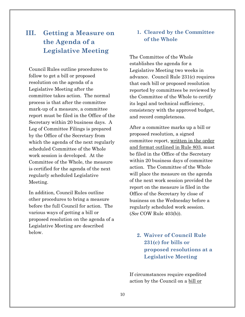# **III. Getting a Measure on the Agenda of a Legislative Meeting**

Council Rules outline procedures to follow to get a bill or proposed resolution on the agenda of a Legislative Meeting after the committee takes action. The normal process is that after the committee mark-up of a measure, a committee report must be filed in the Office of the Secretary within 20 business days. A Log of Committee Filings is prepared by the Office of the Secretary from which the agenda of the next regularly scheduled Committee of the Whole work session is developed. At the Committee of the Whole, the measure is certified for the agenda of the next regularly scheduled Legislative Meeting.

In addition, Council Rules outline other procedures to bring a measure before the full Council for action. The various ways of getting a bill or proposed resolution on the agenda of a Legislative Meeting are described below.

# **1. Cleared by the Committee of the Whole**

The Committee of the Whole establishes the agenda for a Legislative Meeting two weeks in advance. Council Rule 231(c) requires that each bill or proposed resolution reported by committees be reviewed by the Committee of the Whole to certify its legal and technical sufficiency, consistency with the approved budget, and record completeness.

After a committee marks up a bill or proposed resolution, a signed committee report, written in the order and format outlined in Rule 803, must be filed in the Office of the Secretary within 20 business days of committee action. The Committee of the Whole will place the measure on the agenda of the next work session provided the report on the measure is filed in the Office of the Secretary by close of business on the Wednesday before a regularly scheduled work session. (*See* COW Rule 403(b)).

# **2. Waiver of Council Rule 231(c) for bills or proposed resolutions at a Legislative Meeting**

If circumstances require expedited action by the Council on a bill or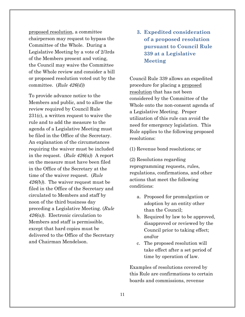proposed resolution, a committee chairperson may request to bypass the Committee of the Whole. During a Legislative Meeting by a vote of 2/3rds of the Members present and voting, the Council may waive the Committee of the Whole review and consider a bill or proposed resolution voted out by the committee. (*Rule 426(d)*)

To provide advance notice to the Members and public, and to allow the review required by Council Rule 231(c), a written request to waive the rule and to add the measure to the agenda of a Legislative Meeting must be filed in the Office of the Secretary. An explanation of the circumstances requiring the waiver must be included in the request. (*Rule 426(a)*) A report on the measure must have been filed in the Office of the Secretary at the time of the waiver request. (*Rule 426(b)*). The waiver request must be filed in the Office of the Secretary and circulated to Members and staff by noon of the third business day preceding a Legislative Meeting. (*Rule 426(a)*). Electronic circulation to Members and staff is permissible, except that hard copies must be delivered to the Office of the Secretary and Chairman Mendelson.

**3. Expedited consideration of a proposed resolution pursuant to Council Rule 339 at a Legislative Meeting**

Council Rule 339 allows an expedited procedure for placing a proposed resolution that has not been considered by the Committee of the Whole onto the non-consent agenda of a Legislative Meeting. Proper utilization of this rule can avoid the need for emergency legislation. This Rule applies to the following proposed resolutions:

(1) Revenue bond resolutions; or

(2) Resolutions regarding reprogramming requests, rules, regulations, confirmations, and other actions that meet the following conditions:

- a. Proposed for promulgation or adoption by an entity other than the Council;
- b. Required by law to be approved, disapproved or reviewed by the Council prior to taking effect; *and*/or
- c. The proposed resolution will take effect after a set period of time by operation of law.

Examples of resolutions covered by this Rule are confirmations to certain boards and commissions, revenue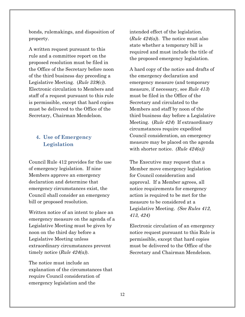bonds, rulemakings, and disposition of property.

A written request pursuant to this rule and a committee report on the proposed resolution must be filed in the Office of the Secretary before noon of the third business day preceding a Legislative Meeting. (*Rule 339(c)*). Electronic circulation to Members and staff of a request pursuant to this rule is permissible, except that hard copies must be delivered to the Office of the Secretary, Chairman Mendelson.

# **4. Use of Emergency Legislation**

Council Rule 412 provides for the use of emergency legislation. If nine Members approve an emergency declaration and determine that emergency circumstances exist, the Council shall consider an emergency bill or proposed resolution.

Written notice of an intent to place an emergency measure on the agenda of a Legislative Meeting must be given by noon on the third day before a Legislative Meeting unless extraordinary circumstances prevent timely notice (*Rule 424(a)*).

The notice must include an explanation of the circumstances that require Council consideration of emergency legislation and the

intended effect of the legislation. (*Rule 424(a)*). The notice must also state whether a temporary bill is required and must include the title of the proposed emergency legislation.

A hard copy of the notice and drafts of the emergency declaration and emergency measure (and temporary measure, if necessary, see *Rule 413*) must be filed in the Office of the Secretary and circulated to the Members and staff by noon of the third business day before a Legislative Meeting. (*Rule 424*) If extraordinary circumstances require expedited Council consideration, an emergency measure may be placed on the agenda with shorter notice. *(Rule 424(a))*

The Executive may request that a Member move emergency legislation for Council consideration and approval. If a Member agrees, all notice requirements for emergency action is required to be met for the measure to be considered at a Legislative Meeting. *(See Rules 412, 413, 424)*

Electronic circulation of an emergency notice request pursuant to this Rule is permissible, except that hard copies must be delivered to the Office of the Secretary and Chairman Mendelson.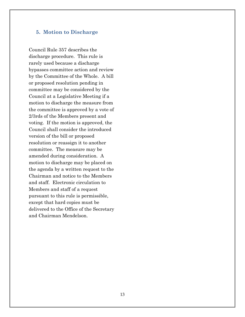#### **5. Motion to Discharge**

Council Rule 357 describes the discharge procedure. This rule is rarely used because a discharge bypasses committee action and review by the Committee of the Whole. A bill or proposed resolution pending in committee may be considered by the Council at a Legislative Meeting if a motion to discharge the measure from the committee is approved by a vote of 2/3rds of the Members present and voting. If the motion is approved, the Council shall consider the introduced version of the bill or proposed resolution or reassign it to another committee. The measure may be amended during consideration. A motion to discharge may be placed on the agenda by a written request to the Chairman and notice to the Members and staff. Electronic circulation to Members and staff of a request pursuant to this rule is permissible, except that hard copies must be delivered to the Office of the Secretary and Chairman Mendelson.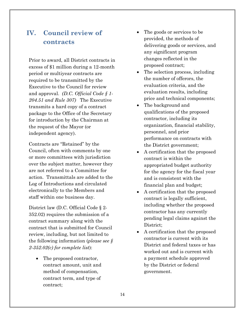# **IV. Council review of contracts**

Prior to award, all District contracts in excess of \$1 million during a 12-month period or multiyear contracts are required to be transmitted by the Executive to the Council for review and approval. *(D.C. Official Code § 1- 204.51 and Rule 307)* The Executive transmits a hard copy of a contract package to the Office of the Secretary for introduction by the Chairman at the request of the Mayor (or independent agency).

Contracts are "Retained" by the Council, often with comments by one or more committees with jurisdiction over the subject matter, however they are not referred to a Committee for action. Transmittals are added to the Log of Introductions and circulated electronically to the Members and staff within one business day.

District law (D.C. Official Code § 2- 352.02) requires the submission of a contract summary along with the contract that is submitted for Council review, including, but not limited to the following information (*please see § 2-352.02(c) for complete list*):

• The proposed contractor, contract amount, unit and method of compensation, contract term, and type of contract;

- The goods or services to be provided, the methods of delivering goods or services, and any significant program changes reflected in the proposed contract;
- The selection process, including the number of offerors, the evaluation criteria, and the evaluation results, including price and technical components;
- The background and qualifications of the proposed contractor, including its organization, financial stability, personnel, and prior performance on contracts with the District government;
- A certification that the proposed contract is within the appropriated budget authority for the agency for the fiscal year and is consistent with the financial plan and budget;
- A certification that the proposed contract is legally sufficient, including whether the proposed contractor has any currently pending legal claims against the District;
- A certification that the proposed contractor is current with its District and federal taxes or has worked out and is current with a payment schedule approved by the District or federal government.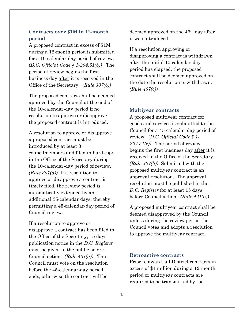### **Contracts over \$1M in 12-month period**

A proposed contract in excess of \$1M during a 12-month period is submitted for a 10-calendar-day period of review. *(D.C. Official Code § 1-204.51(b))* The period of review begins the first business day after it is received in the Office of the Secretary. *(Rule 307(b))*

The proposed contract shall be deemed approved by the Council at the end of the 10-calendar-day period if no resolution to approve or disapprove the proposed contract is introduced.

A resolution to approve or disapprove a proposed contract must be introduced by at least 3 councilmembers and filed in hard copy in the Office of the Secretary during the 10-calendar-day period of review. *(Rule 307(d))* If a resolution to approve or disapprove a contract is timely filed, the review period is automatically extended by an additional 35-calendar days; thereby permitting a 45-calendar-day period of Council review.

If a resolution to approve or disapprove a contract has been filed in the Office of the Secretary, 15 days publication notice in the *D.C. Register* must be given to the public before Council action. *(Rule 421(a))* The Council must vote on the resolution before the 45-calendar-day period ends, otherwise the contract will be

deemed approved on the 46th day after it was introduced.

If a resolution approving or disapproving a contract is withdrawn after the initial 10-calendar-day period has elapsed, the proposed contract shall be deemed approved on the date the resolution is withdrawn. *(Rule 407(c))*

#### **Multiyear contracts**

A proposed multiyear contract for goods and services is submitted to the Council for a 45-calendar-day period of review. *(D.C. Official Code § 1- 204.51(c))* The period of review begins the first business day after it is received in the Office of the Secretary. *(Rule 307(b))* Submitted with the proposed multiyear contract is an approval resolution. The approval resolution must be published in the *D.C. Register* for at least 15 days before Council action. *(Rule 421(a))*

A proposed multiyear contract shall be deemed disapproved by the Council unless during the review period the Council votes and adopts a resolution to approve the multiyear contract.

#### **Retroactive contracts**

Prior to award, all District contracts in excess of \$1 million during a 12-month period or multiyear contracts are required to be transmitted by the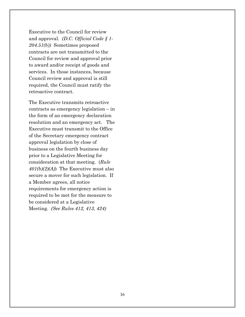Executive to the Council for review and approval. *(D.C. Official Code § 1- 204.51(b))* Sometimes proposed contracts are not transmitted to the Council for review and approval prior to award and/or receipt of goods and services. In those instances, because Council review and approval is still required, the Council must ratify the retroactive contract.

The Executive transmits retroactive contracts as emergency legislation – in the form of an emergency declaration resolution and an emergency act. The Executive must transmit to the Office of the Secretary emergency contract approval legislation by close of business on the fourth business day prior to a Legislative Meeting for consideration at that meeting. (*Rule 401(b)(2)(A)*) The Executive must also secure a mover for such legislation. If a Member agrees, all notice requirements for emergency action is required to be met for the measure to be considered at a Legislative Meeting. *(See Rules 412, 413, 424)*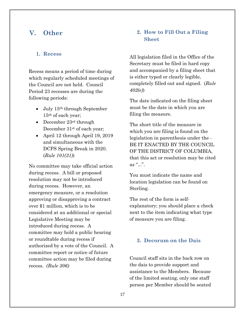# **V. Other**

#### **1. Recess**

Recess means a period of time during which regularly scheduled meetings of the Council are not held. Council Period 23 recesses are during the following periods:

- July 15<sup>th</sup> through September 15th of each year;
- December 23<sup>rd</sup> through December  $31<sup>st</sup>$  of each year;
- April 12 through April 19, 2019 and simultaneous with the DCPS Spring Break in 2020. (*Rule 101(31)*)

No committee may take official action during recess. A bill or proposed resolution may not be introduced during recess. However, an emergency measure, or a resolution approving or disapproving a contract over \$1 million, which is to be considered at an additional or special Legislative Meeting may be introduced during recess. A committee may hold a public hearing or roundtable during recess if authorized by a vote of the Council. A committee report or notice of future committee action may be filed during recess. *(Rule 306)* 

# **2. How to Fill Out a Filing Sheet**

All legislation filed in the Office of the Secretary must be filed in hard copy and accompanied by a filing sheet that is either typed or clearly legible, completely filled out and signed. (*Rule 402(e)*)

The date indicated on the filing sheet must be the date in which you are filing the measure.

The short title of the measure in which you are filing is found on the legislation in parenthesis under the - BE IT ENACTED BY THE COUNCIL OF THE DISTRICT OF COLUMBIA, that this act or resolution may be cited as " $\ldots$ ".

You must indicate the name and location legislation can be found on Sterling.

The rest of the form is selfexplanatory; you should place a check next to the item indicating what type of measure you are filing.

#### **3. Decorum on the Dais**

Council staff sits in the back row on the dais to provide support and assistance to the Members. Because of the limited seating, only one staff person per Member should be seated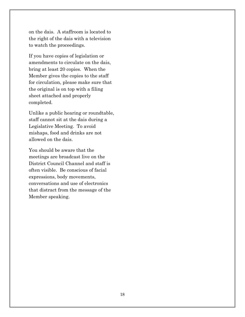on the dais. A staffroom is located to the right of the dais with a television to watch the proceedings.

If you have copies of legislation or amendments to circulate on the dais, bring at least 20 copies. When the Member gives the copies to the staff for circulation, please make sure that the original is on top with a filing sheet attached and properly completed.

Unlike a public hearing or roundtable, staff cannot sit at the dais during a Legislative Meeting. To avoid mishaps, food and drinks are not allowed on the dais.

You should be aware that the meetings are broadcast live on the District Council Channel and staff is often visible. Be conscious of facial expressions, body movements, conversations and use of electronics that distract from the message of the Member speaking.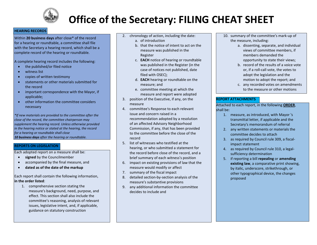

# **Office of the Secretary: FILING CHEAT SHEET**

#### **HEARING RECORDS**

Within **20 business days** after close\* of the record for a hearing or roundtable, a committee shall file with the Secretary a hearing record, which shall be a complete record of the hearing or roundtable.

A complete hearing record includes the following:

- the published/or filed notice
- witness list
- copies of written testimony
- statements or other materials submitted for the record
- important correspondence with the Mayor, if applicable;
- other information the committee considers necessary

*\*If new materials are provided to the committee after the close of the record, the committee chairperson may supplement the hearing record. Unless otherwise provided in the hearing notice or stated at the hearing, the record for a hearing or roundtable shall close 10 business days after the hearing or roundtable.*

#### **REPORTS ON LEGISLATION**

Each adopted report on a measure shall be:

- **signed** by the Councilmember
- accompanied by the final measure, and
- **dated as of the date of the markup**

Each report shall contain the following information, **in the order listed**:

1. comprehensive section stating the measure's background, need, purpose, and effect. This section shall also include the committee's reasoning, analysis of relevant issues, legislative intent, and, if applicable, guidance on statutory construction

- 2. chronology of action, including the date:
	- a. of introduction
	- b. that the notice of intent to act on the measure was published in the Register
	- c. **EACH** notice of hearing or roundtable was published in the Register (in the case of notices not published, date filed with OSEC);
	- d. **EACH** hearing or roundtable on the measure; and
	- e. committee meeting at which the measure and report were adopted
- 3. position of the Executive, if any, on the measure
- 4. committee's Response to each relevant issue and concern raised in a recommendation adopted by a resolution of an affected Advisory Neighborhood Commission, if any, that has been provided to the committee before the close of the record
- 5. list of witnesses who testified at the hearing, or who submitted a statement for the record before close of the record, and a brief summary of each witness's position
- 6. impact on existing provisions of law that the measure would modify or affect
- 7. summary of the fiscal impact
- 8. detailed section-by-section analysis of the measure's substantive provisions
- 9. any additional information the committee decides to include and
- 10. summary of the committee's mark-up of the measure, including:
	- a. dissenting, separate, and individual views of committee members, if members demanded the opportunity to state their views;
	- b. record of the results of a voice vote or, if a roll-call vote, the votes to adopt the legislation and the motion to adopt the report; and
	- c. any recorded votes on amendments to the measure or other motions

#### **REPORT ATTACHMENTS**

Attached to each report, in the following **ORDER**, shall be:

- 1. measure, as introduced, with Mayor 's transmittal letter, if applicable and the Secretary's memorandum of referral
- 2. any written statements or materials the committee decides to attach
- 3. as required by Council rule 309, a fiscalimpact statement
- 4. as required by Council rule 310, a legalsufficiency determination
- 5. if reporting a bill **repealing** or **amending existing law**, a comparative print showing, by italic, underscore, strikethrough, or other typographical device, the changes proposed